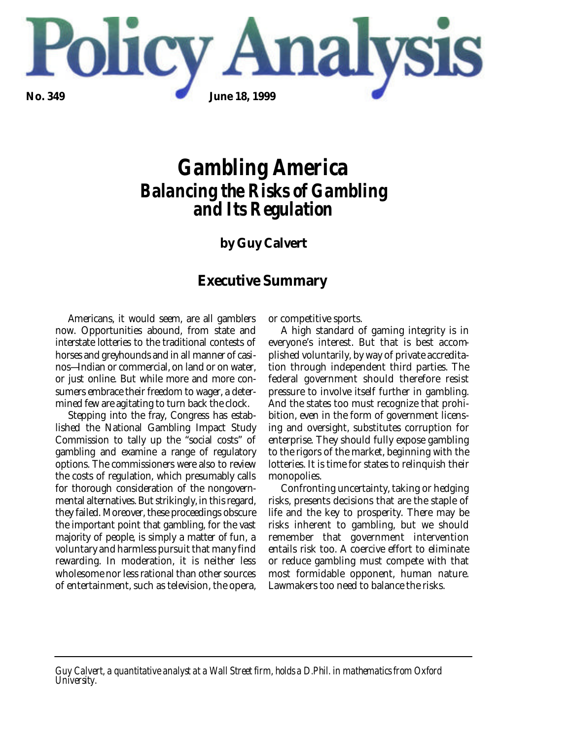

# *Gambling America Balancing the Risks of Gambling and Its Regulation*

# **by Guy Calvert**

### **Executive Summary**

Americans, it would seem, are all gamblers now. Opportunities abound, from state and interstate lotteries to the traditional contests of horses and greyhounds and in all manner of casinos—Indian or commercial, on land or on water, or just online. But while more and more consumers embrace their freedom to wager, a determined few are agitating to turn back the clock.

Stepping into the fray, Congress has established the National Gambling Impact Study Commission to tally up the "social costs" of gambling and examine a range of regulatory options. The commissioners were also to review the costs of regulation, which presumably calls for thorough consideration of the nongovernmental alternatives. But strikingly, in this regard, they failed. Moreover, these proceedings obscure the important point that gambling, for the vast majority of people, is simply a matter of fun, a voluntary and harmless pursuit that many find rewarding. In moderation, it is neither less wholesome nor less rational than other sources of entertainment, such as television, the opera,

or competitive sports.

A high standard of gaming integrity is in everyone's interest. But that is best accomplished voluntarily, by way of private accreditation through independent third parties. The federal government should therefore resist pressure to involve itself further in gambling. And the states too must recognize that prohibition, even in the form of government licensing and oversight, substitutes corruption for enterprise. They should fully expose gambling to the rigors of the market, beginning with the lotteries. It is time for states to relinquish their monopolies.

Confronting uncertainty, taking or hedging risks, presents decisions that are the staple of life and the key to prosperity. There may be risks inherent to gambling, but we should remember that government intervention entails risk too. A coercive effort to eliminate or reduce gambling must compete with that most formidable opponent, human nature. Lawmakers too need to balance the risks.

*Guy Calvert, a quantitative analyst at a Wall Street firm, holds a D.Phil. in mathematics from Oxford University.*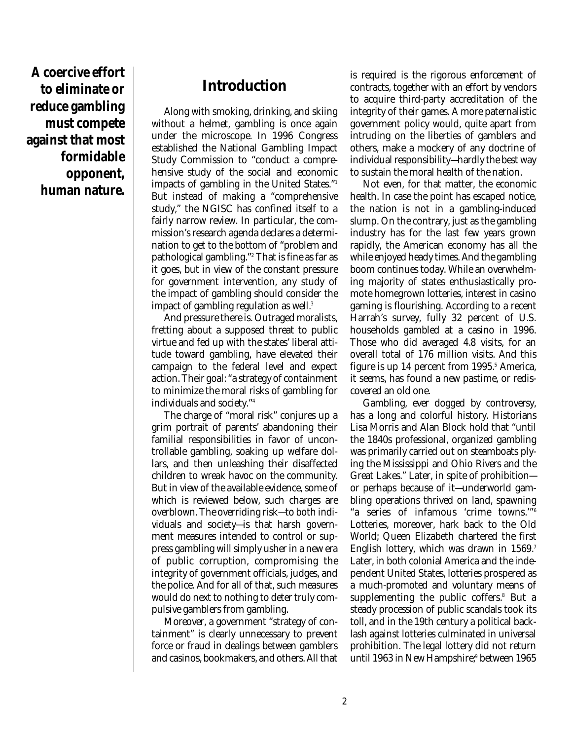**A coercive effort to eliminate or reduce gambling must compete against that most formidable opponent, human nature.**

# **Introduction**

Along with smoking, drinking, and skiing without a helmet, gambling is once again under the microscope. In 1996 Congress established the National Gambling Impact Study Commission to "conduct a comprehensive study of the social and economic impacts of gambling in the United States." 1 But instead of making a "comprehensive study," the NGISC has confined itself to a fairly narrow review. In particular, the commission's research agenda declares a determination to get to the bottom of "problem and pathological gambling." <sup>2</sup> That is fine as far as it goes, but in view of the constant pressure for government intervention, any study of the impact of gambling should consider the impact of gambling regulation as well. 3

And pressure there is. Outraged moralists, fretting about a supposed threat to public virtue and fed up with the states' liberal attitude toward gambling, have elevated their campaign to the federal level and expect action. Their goal: "a strategy of containment to minimize the moral risks of gambling for individuals and society." 4

The charge of "moral risk" conjures up a grim portrait of parents' abandoning their familial responsibilities in favor of uncontrollable gambling, soaking up welfare dollars, and then unleashing their disaffected children to wreak havoc on the community. But in view of the available evidence, some of which is reviewed below, such charges are overblown. The overriding risk—to both individuals and society—is that harsh government measures intended to control or suppress gambling will simply usher in a new era of public corruption, compromising the integrity of government officials, judges, and the police. And for all of that, such measures would do next to nothing to deter truly compulsive gamblers from gambling.

Moreover, a government "strategy of containment" is clearly unnecessary to prevent force or fraud in dealings between gamblers and casinos, bookmakers, and others. All that is required is the rigorous enforcement of contracts, together with an effort by vendors to acquire third-party accreditation of the integrity of their games. A more paternalistic government policy would, quite apart from intruding on the liberties of gamblers and others, make a mockery of any doctrine of individual responsibility—hardly the best way to sustain the moral health of the nation.

Not even, for that matter, the economic health. In case the point has escaped notice, the nation is not in a gambling-induced slump. On the contrary, just as the gambling industry has for the last few years grown rapidly, the American economy has all the while enjoyed heady times. And the gambling boom continues today. While an overwhelming majority of states enthusiastically promote homegrown lotteries, interest in casino gaming is flourishing. According to a recent Harrah's survey, fully 32 percent of U.S. households gambled at a casino in 1996. Those who did averaged 4.8 visits, for an overall total of 176 million visits. And this figure is up 14 percent from 1995. <sup>5</sup> America, it seems, has found a new pastime, or rediscovered an old one.

Gambling, ever dogged by controversy, has a long and colorful history. Historians Lisa Morris and Alan Block hold that "until the 1840s professional, organized gambling was primarily carried out on steamboats plying the Mississippi and Ohio Rivers and the Great Lakes." Later, in spite of prohibition or perhaps because of it—underworld gambling operations thrived on land, spawning "a series of infamous 'crime towns.'" 6 Lotteries, moreover, hark back to the Old World; Queen Elizabeth chartered the first English lottery, which was drawn in 1569. 7 Later, in both colonial America and the independent United States, lotteries prospered as a much-promoted and voluntary means of supplementing the public coffers. <sup>8</sup> But a steady procession of public scandals took its toll, and in the 19th century a political backlash against lotteries culminated in universal prohibition. The legal lottery did not return until 1963 in New Hampshire; <sup>9</sup> between 1965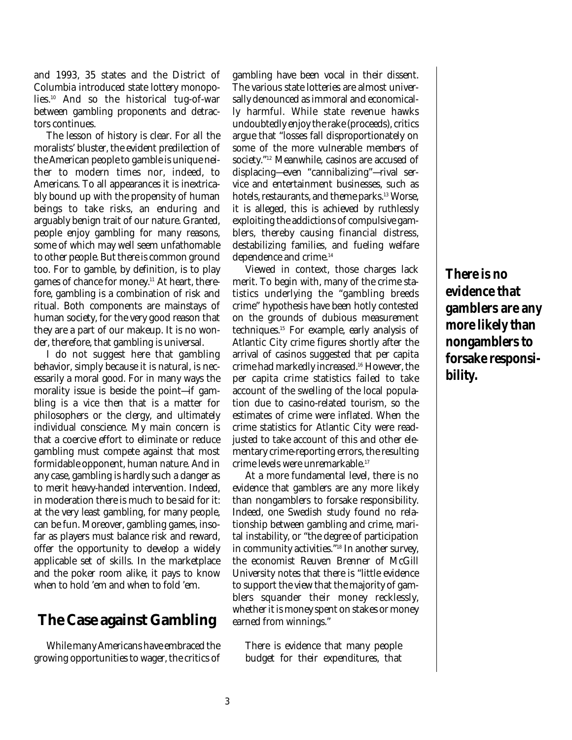and 1993, 35 states and the District of Columbia introduced state lottery monopolies. <sup>10</sup> And so the historical tug-of-war between gambling proponents and detractors continues.

The lesson of history is clear. For all the moralists' bluster, the evident predilection of the American people to gamble is unique neither to modern times nor, indeed, to Americans. To all appearances it is inextricably bound up with the propensity of human beings to take risks, an enduring and arguably benign trait of our nature. Granted, people enjoy gambling for many reasons, some of which may well seem unfathomable to other people. But there is common ground too. For to gamble, by definition, is to play games of chance for money. <sup>11</sup> At heart, therefore, gambling is a combination of risk and ritual. Both components are mainstays of human society, for the very good reason that they are a part of our makeup. It is no wonder, therefore, that gambling is universal.

I do not suggest here that gambling behavior, simply because it is natural, is necessarily a moral good. For in many ways the morality issue is beside the point—if gambling is a vice then that is a matter for philosophers or the clergy, and ultimately individual conscience. My main concern is that a coercive effort to eliminate or reduce gambling must compete against that most formidable opponent, human nature. And in any case, gambling is hardly such a danger as to merit heavy-handed intervention. Indeed, in moderation there is much to be said for it: at the very least gambling, for many people, can be fun. Moreover, gambling games, insofar as players must balance risk and reward, offer the opportunity to develop a widely applicable set of skills. In the marketplace and the poker room alike, it pays to know when to hold 'em and when to fold 'em.

### **The Case against Gambling**

While many Americans have embraced the growing opportunities to wager, the critics of gambling have been vocal in their dissent. The various state lotteries are almost universally denounced as immoral and economically harmful. While state revenue hawks undoubtedly enjoy the rake (proceeds), critics argue that "losses fall disproportionately on some of the more vulnerable members of society." <sup>12</sup> Meanwhile, casinos are accused of displacing—even "cannibalizing"—rival service and entertainment businesses, such as hotels, restaurants, and theme parks. <sup>13</sup> Worse, it is alleged, this is achieved by ruthlessly exploiting the addictions of compulsive gamblers, thereby causing financial distress, destabilizing families, and fueling welfare dependence and crime. 14

Viewed in context, those charges lack merit. To begin with, many of the crime statistics underlying the "gambling breeds crime" hypothesis have been hotly contested on the grounds of dubious measurement techniques. <sup>15</sup> For example, early analysis of Atlantic City crime figures shortly after the arrival of casinos suggested that per capita crime had markedly increased. <sup>16</sup> However, the per capita crime statistics failed to take account of the swelling of the local population due to casino-related tourism, so the estimates of crime were inflated. When the crime statistics for Atlantic City were readjusted to take account of this and other elementary crime-reporting errors, the resulting crime levels were unremarkable. 17

At a more fundamental level, there is no evidence that gamblers are any more likely than nongamblers to forsake responsibility. Indeed, one Swedish study found no relationship between gambling and crime, marital instability, or "the degree of participation in community activities." 18 In another survey, the economist Reuven Brenner of McGill University notes that there is "little evidence to support the view that the majority of gamblers squander their money recklessly, whether it is money spent on stakes or money earned from winnings."

There is evidence that many people budget for their expenditures, that

**There is no evidence that gamblers are any more likely than nongamblers to forsake responsibility.**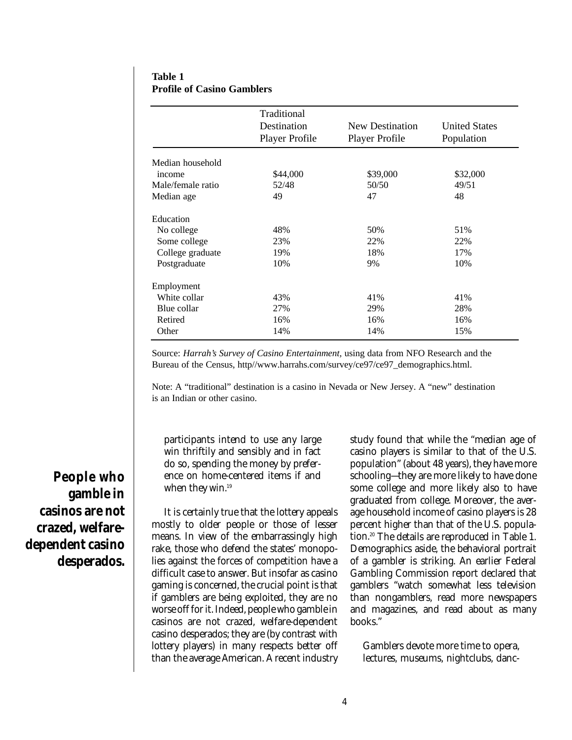### **Table 1 Profile of Casino Gamblers**

|                   | Traditional<br>Destination<br>Player Profile | New Destination<br>Player Profile | <b>United States</b><br>Population |
|-------------------|----------------------------------------------|-----------------------------------|------------------------------------|
|                   |                                              |                                   |                                    |
| Median household  |                                              |                                   |                                    |
| income            | \$44,000                                     | \$39,000                          | \$32,000                           |
| Male/female ratio | 52/48                                        | 50/50                             | 49/51                              |
| Median age        | 49                                           | 47                                | 48                                 |
| Education         |                                              |                                   |                                    |
| No college        | 48%                                          | 50%                               | 51%                                |
| Some college      | 23%                                          | 22%                               | 22%                                |
| College graduate  | 19%                                          | 18%                               | 17%                                |
| Postgraduate      | 10%                                          | 9%                                | 10%                                |
| Employment        |                                              |                                   |                                    |
| White collar      | 43%                                          | 41%                               | 41%                                |
| Blue collar       | 27%                                          | 29%                               | 28%                                |
| Retired           | 16%                                          | 16%                               | 16%                                |
| Other             | 14%                                          | 14%                               | 15%                                |

Source: *Harrah's Survey of Casino Entertainment,* using data from NFO Research and the Bureau of the Census, http//www.harrahs.com/survey/ce97/ce97\_demographics.html.

Note: A "traditional" destination is a casino in Nevada or New Jersey. A "new" destination is an Indian or other casino.

participants intend to use any large win thriftily and sensibly and in fact do so, spending the money by preference on home-centered items if and when they win. 19

It is certainly true that the lottery appeals mostly to older people or those of lesser means. In view of the embarrassingly high rake, those who defend the states' monopolies against the forces of competition have a difficult case to answer. But insofar as casino gaming is concerned, the crucial point is that if gamblers are being exploited, they are no worse off for it. Indeed, people who gamble in casinos are not crazed, welfare-dependent casino desperados; they are (by contrast with lottery players) in many respects better off than the average American. A recent industry study found that while the "median age of casino players is similar to that of the U.S. population" (about 48 years), they have more schooling—they are more likely to have done some college and more likely also to have graduated from college. Moreover, the average household income of casino players is 28 percent higher than that of the U.S. population. <sup>20</sup> The details are reproduced in Table 1. Demographics aside, the behavioral portrait of a gambler is striking. An earlier Federal Gambling Commission report declared that gamblers "watch somewhat less television than nongamblers, read more newspapers and magazines, and read about as many books."

Gamblers devote more time to opera, lectures, museums, nightclubs, danc-

**People who gamble in casinos are not crazed, welfaredependent casino desperados.**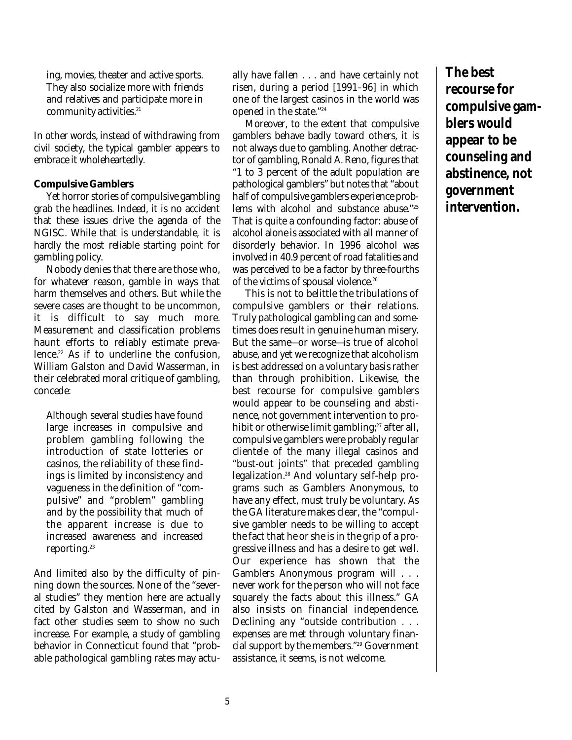ing, movies, theater and active sports. They also socialize more with friends and relatives and participate more in community activities. 21

In other words, instead of withdrawing from civil society, the typical gambler appears to embrace it wholeheartedly.

### **Compulsive Gamblers**

Yet horror stories of compulsive gambling grab the headlines. Indeed, it is no accident that these issues drive the agenda of the NGISC. While that is understandable, it is hardly the most reliable starting point for gambling policy.

Nobody denies that there are those who, for whatever reason, gamble in ways that harm themselves and others. But while the severe cases are thought to be uncommon, it is difficult to say much more. Measurement and classification problems haunt efforts to reliably estimate prevalence. <sup>22</sup> As if to underline the confusion, William Galston and David Wasserman, in their celebrated moral critique of gambling, concede:

Although several studies have found large increases in compulsive and problem gambling following the introduction of state lotteries or casinos, the reliability of these findings is limited by inconsistency and vagueness in the definition of "compulsive" and "problem" gambling and by the possibility that much of the apparent increase is due to increased awareness and increased reporting. 23

And limited also by the difficulty of pinning down the sources. None of the "several studies" they mention here are actually cited by Galston and Wasserman, and in fact other studies seem to show no such increase. For example, a study of gambling behavior in Connecticut found that "probable pathological gambling rates may actually have fallen . . . and have certainly not risen, during a period [1991–96] in which one of the largest casinos in the world was opened in the state." 24

Moreover, to the extent that compulsive gamblers behave badly toward others, it is not always due to gambling. Another detractor of gambling, Ronald A. Reno, figures that "1 to 3 percent of the adult population are pathological gamblers" but notes that "about half of compulsive gamblers experience problems with alcohol and substance abuse." 25 That is quite a confounding factor: abuse of alcohol alone is associated with all manner of disorderly behavior. In 1996 alcohol was involved in 40.9 percent of road fatalities and was perceived to be a factor by three-fourths of the victims of spousal violence. 26

This is not to belittle the tribulations of compulsive gamblers or their relations. Truly pathological gambling can and sometimes does result in genuine human misery. But the same—or worse—is true of alcohol abuse, and yet we recognize that alcoholism is best addressed on a voluntary basis rather than through prohibition. Likewise, the best recourse for compulsive gamblers would appear to be counseling and abstinence, not government intervention to prohibit or otherwise limit gambling; 27 after all, compulsive gamblers were probably regular clientele of the many illegal casinos and "bust-out joints" that preceded gambling legalization. <sup>28</sup> And voluntary self-help programs such as Gamblers Anonymous, to have any effect, must truly be voluntary. As the GA literature makes clear, the "compulsive gambler needs to be willing to accept the fact that he or she is in the grip of a progressive illness and has a desire to get well. Our experience has shown that the Gamblers Anonymous program will . . . never work for the person who will not face squarely the facts about this illness." GA also insists on financial independence. Declining any "outside contribution . . . expenses are met through voluntary financial support by the members." <sup>29</sup> Government assistance, it seems, is not welcome.

**The best recourse for compulsive gamblers would appear to be counseling and abstinence, not government intervention.**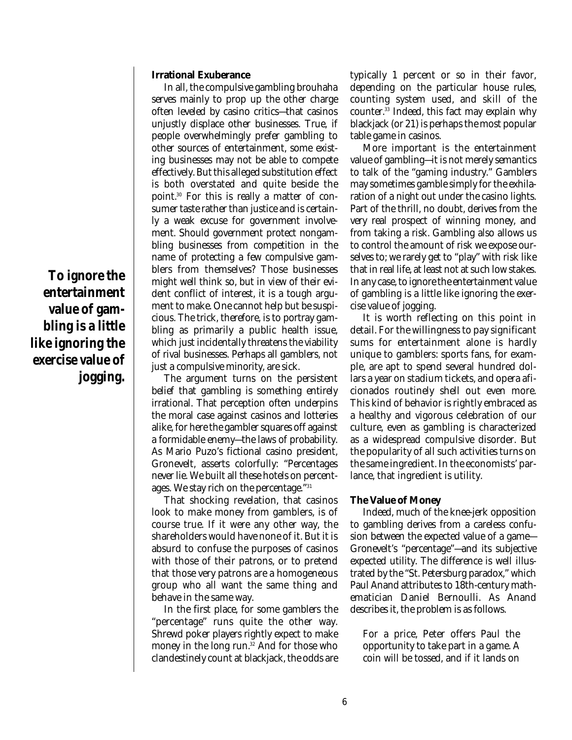### **Irrational Exuberance**

In all, the compulsive gambling brouhaha serves mainly to prop up the other charge often leveled by casino critics—that casinos unjustly displace other businesses. True, if people overwhelmingly prefer gambling to other sources of entertainment, some existing businesses may not be able to compete effectively. But this alleged substitution effect is both overstated and quite beside the point. <sup>30</sup> For this is really a matter of consumer taste rather than justice and is certainly a weak excuse for government involvement. Should government protect nongambling businesses from competition in the name of protecting a few compulsive gamblers from themselves? Those businesses might well think so, but in view of their evident conflict of interest, it is a tough argument to make. One cannot help but be suspicious. The trick, therefore, is to portray gambling as primarily a public health issue, which just incidentally threatens the viability of rival businesses. Perhaps all gamblers, not just a compulsive minority, are sick.

The argument turns on the persistent belief that gambling is something entirely irrational. That perception often underpins the moral case against casinos and lotteries alike, for here the gambler squares off against a formidable enemy—the laws of probability. As Mario Puzo's fictional casino president, Gronevelt, asserts colorfully: "Percentages never lie. We built all these hotels on percentages. We stay rich on the percentage." 31

That shocking revelation, that casinos look to make money from gamblers, is of course true. If it were any other way, the shareholders would have none of it. But it is absurd to confuse the purposes of casinos with those of their patrons, or to pretend that those very patrons are a homogeneous group who all want the same thing and behave in the same way.

In the first place, for some gamblers the "percentage" runs quite the other way. Shrewd poker players rightly expect to make money in the long run. <sup>32</sup> And for those who clandestinely count at blackjack, the odds are typically 1 percent or so in their favor, depending on the particular house rules, counting system used, and skill of the counter. 33 Indeed, this fact may explain why blackjack (or 21) is perhaps the most popular table game in casinos.

More important is the entertainment value of gambling—it is not merely semantics to talk of the "gaming industry." Gamblers may sometimes gamble simply for the exhilaration of a night out under the casino lights. Part of the thrill, no doubt, derives from the very real prospect of winning money, and from taking a risk. Gambling also allows us to control the amount of risk we expose ourselves to; we rarely get to "play" with risk like that in real life, at least not at such low stakes. In any case, to ignore the entertainment value of gambling is a little like ignoring the exercise value of jogging.

It is worth reflecting on this point in detail. For the willingness to pay significant sums for entertainment alone is hardly unique to gamblers: sports fans, for example, are apt to spend several hundred dollars a year on stadium tickets, and opera aficionados routinely shell out even more. This kind of behavior is rightly embraced as a healthy and vigorous celebration of our culture, even as gambling is characterized as a widespread compulsive disorder. But the popularity of all such activities turns on the same ingredient. In the economists' parlance, that ingredient is utility.

#### **The Value of Money**

Indeed, much of the knee-jerk opposition to gambling derives from a careless confusion between the expected value of a game— Gronevelt's "percentage"—and its subjective expected utility. The difference is well illustrated by the "St. Petersburg paradox," which Paul Anand attributes to 18th-century mathematician Daniel Bernoulli. As Anand describes it, the problem is as follows.

For a price, Peter offers Paul the opportunity to take part in a game. A coin will be tossed, and if it lands on

**To ignore the entertainment value of gambling is a little like ignoring the exercise value of jogging.**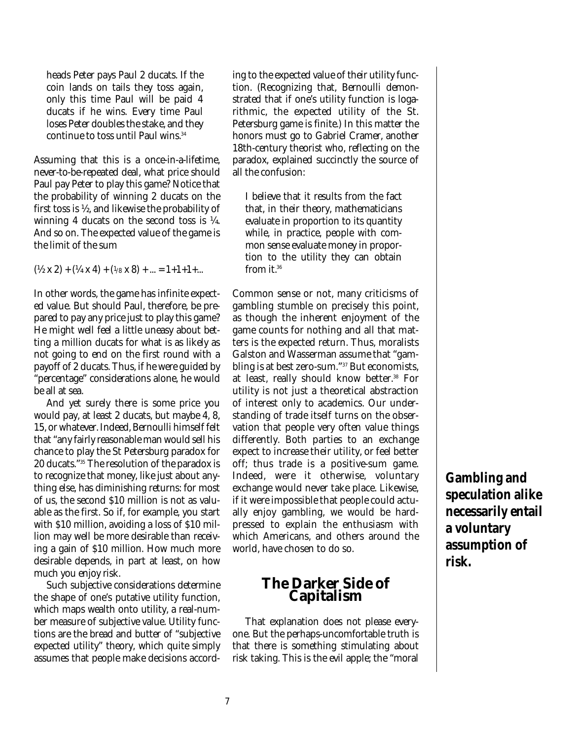heads Peter pays Paul 2 ducats. If the coin lands on tails they toss again, only this time Paul will be paid 4 ducats if he wins. Every time Paul loses Peter doubles the stake, and they continue to toss until Paul wins. 34

Assuming that this is a once-in-a-lifetime, never-to-be-repeated deal, what price should Paul pay Peter to play this game? Notice that the probability of winning 2 ducats on the first toss is ½, and likewise the probability of winning 4 ducats on the second toss is ¼. And so on. The expected value of the game is the limit of the sum

 $(\frac{1}{2} \times 2) + (\frac{1}{4} \times 4) + (\frac{1}{8} \times 8) + ... = 1 + 1 + 1 + ...$ 

In other words, the game has infinite expected value. But should Paul, therefore, be prepared to pay any price just to play this game? He might well feel a little uneasy about betting a million ducats for what is as likely as not going to end on the first round with a payoff of 2 ducats. Thus, if he were guided by "percentage" considerations alone, he would be all at sea.

And yet surely there is some price you would pay, at least 2 ducats, but maybe 4, 8, 15, or whatever. Indeed, Bernoulli himself felt that "any fairly reasonable man would sell his chance to play the St Petersburg paradox for 20 ducats." <sup>35</sup> The resolution of the paradox is to recognize that money, like just about anything else, has diminishing returns: for most of us, the second \$10 million is not as valuable as the first. So if, for example, you start with \$10 million, avoiding a loss of \$10 million may well be more desirable than receiving a gain of \$10 million. How much more desirable depends, in part at least, on how much you enjoy risk.

Such subjective considerations determine the shape of one's putative utility function, which maps wealth onto utility, a real-number measure of subjective value. Utility functions are the bread and butter of "subjective expected utility" theory, which quite simply assumes that people make decisions accord-

ing to the expected value of their utility function. (Recognizing that, Bernoulli demonstrated that if one's utility function is logarithmic, the expected utility of the St. Petersburg game is finite.) In this matter the honors must go to Gabriel Cramer, another 18th-century theorist who, reflecting on the paradox, explained succinctly the source of all the confusion:

I believe that it results from the fact that, in their theory, mathematicians evaluate in proportion to its quantity while, in practice, people with common sense evaluate money in proportion to the utility they can obtain from it. 36

Common sense or not, many criticisms of gambling stumble on precisely this point, as though the inherent enjoyment of the game counts for nothing and all that matters is the expected return. Thus, moralists Galston and Wasserman assume that "gambling is at best zero-sum." <sup>37</sup> But economists, at least, really should know better. <sup>38</sup> For utility is not just a theoretical abstraction of interest only to academics. Our understanding of trade itself turns on the observation that people very often value things differently. Both parties to an exchange expect to increase their utility, or feel better off; thus trade is a positive-sum game. Indeed, were it otherwise, voluntary exchange would never take place. Likewise, if it were impossible that people could actually enjoy gambling, we would be hardpressed to explain the enthusiasm with which Americans, and others around the world, have chosen to do so.

### **The Darker Side of Capitalism**

That explanation does not please everyone. But the perhaps-uncomfortable truth is that there is something stimulating about risk taking. This is the evil apple; the "moral

**Gambling and speculation alike necessarily entail a voluntary assumption of risk.**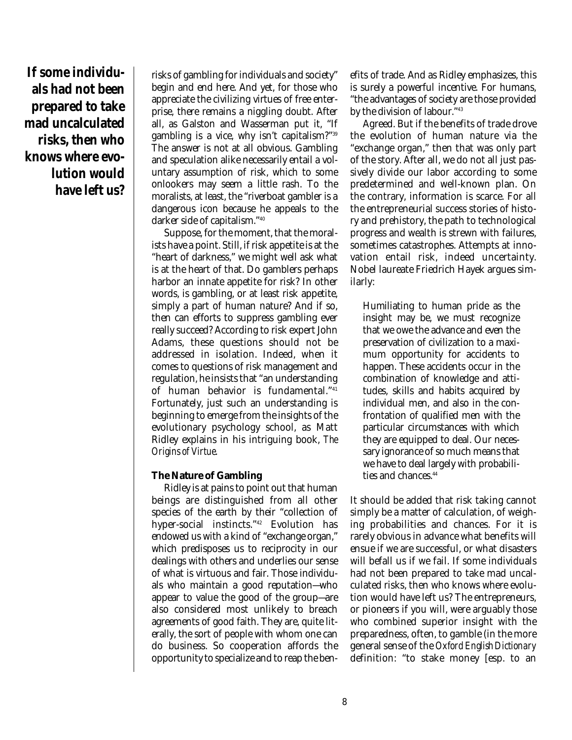**If some individuals had not been prepared to take mad uncalculated risks, then who knows where evolution would have left us?**

risks of gambling for individuals and society" begin and end here. And yet, for those who appreciate the civilizing virtues of free enterprise, there remains a niggling doubt. After all, as Galston and Wasserman put it, "If gambling is a vice, why isn't capitalism?" 39 The answer is not at all obvious. Gambling and speculation alike necessarily entail a voluntary assumption of risk, which to some onlookers may seem a little rash. To the moralists, at least, the "riverboat gambler is a dangerous icon because he appeals to the darker side of capitalism." 40

Suppose, for the moment, that the moralists have a point. Still, if risk appetite is at the "heart of darkness," we might well ask what is at the heart of that. Do gamblers perhaps harbor an innate appetite for risk? In other words, is gambling, or at least risk appetite, simply a part of human nature? And if so, then can efforts to suppress gambling ever really succeed? According to risk expert John Adams, these questions should not be addressed in isolation. Indeed, when it comes to questions of risk management and regulation, he insists that "an understanding of human behavior is fundamental." 41 Fortunately, just such an understanding is beginning to emerge from the insights of the evolutionary psychology school, as Matt Ridley explains in his intriguing book, *The Origins of Virtue*.

#### **The Nature of Gambling**

Ridley is at pains to point out that human beings are distinguished from all other species of the earth by their "collection of hyper-social instincts." <sup>42</sup> Evolution has endowed us with a kind of "exchange organ," which predisposes us to reciprocity in our dealings with others and underlies our sense of what is virtuous and fair. Those individuals who maintain a good reputation—who appear to value the good of the group—are also considered most unlikely to breach agreements of good faith. They are, quite literally, the sort of people with whom one can do business. So cooperation affords the opportunity to specialize and to reap the ben-

efits of trade. And as Ridley emphasizes, this is surely a powerful incentive. For humans, "the advantages of society are those provided by the division of labour." 43

Agreed. But if the benefits of trade drove the evolution of human nature via the "exchange organ," then that was only part of the story. After all, we do not all just passively divide our labor according to some predetermined and well-known plan. On the contrary, information is scarce. For all the entrepreneurial success stories of history and prehistory, the path to technological progress and wealth is strewn with failures, sometimes catastrophes. Attempts at innovation entail risk, indeed uncertainty. Nobel laureate Friedrich Hayek argues similarly:

Humiliating to human pride as the insight may be, we must recognize that we owe the advance and even the preservation of civilization to a maximum opportunity for accidents to happen. These accidents occur in the combination of knowledge and attitudes, skills and habits acquired by individual men, and also in the confrontation of qualified men with the particular circumstances with which they are equipped to deal. Our necessary ignorance of so much means that we have to deal largely with probabilities and chances. 44

It should be added that risk taking cannot simply be a matter of calculation, of weighing probabilities and chances. For it is rarely obvious in advance what benefits will ensue if we are successful, or what disasters will befall us if we fail. If some individuals had not been prepared to take mad uncalculated risks, then who knows where evolution would have left us? The entrepreneurs, or pioneers if you will, were arguably those who combined superior insight with the preparedness, often, to gamble (in the more general sense of the *Oxford English Dictionary* definition: "to stake money [esp. to an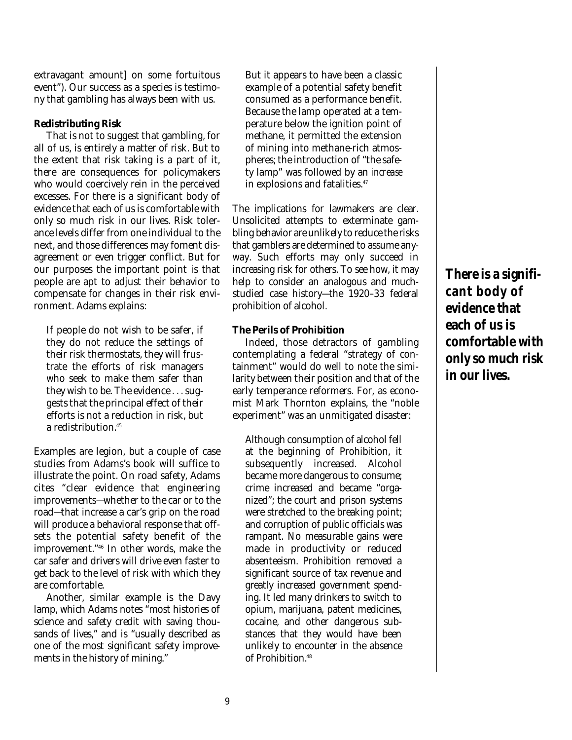extravagant amount] on some fortuitous event"). Our success as a species is testimony that gambling has always been with us.

#### **Redistributing Risk**

That is not to suggest that gambling, for all of us, is entirely a matter of risk. But to the extent that risk taking is a part of it, there are consequences for policymakers who would coercively rein in the perceived excesses. For there is a significant body of evidence that each of us is comfortable with only so much risk in our lives. Risk tolerance levels differ from one individual to the next, and those differences may foment disagreement or even trigger conflict. But for our purposes the important point is that people are apt to adjust their behavior to compensate for changes in their risk environment. Adams explains:

If people do not wish to be safer, if they do not reduce the settings of their risk thermostats, they will frustrate the efforts of risk managers who seek to make them safer than they wish to be. The evidence . . . suggests that the principal effect of their efforts is not a reduction in risk, but a redistribution. 45

Examples are legion, but a couple of case studies from Adams's book will suffice to illustrate the point. On road safety, Adams cites "clear evidence that engineering improvements—whether to the car or to the road—that increase a car's grip on the road will produce a behavioral response that offsets the potential safety benefit of the improvement." 46 In other words, make the car safer and drivers will drive even faster to get back to the level of risk with which they are comfortable.

Another, similar example is the Davy lamp, which Adams notes "most histories of science and safety credit with saving thousands of lives," and is "usually described as one of the most significant safety improvements in the history of mining."

But it appears to have been a classic example of a potential safety benefit consumed as a performance benefit. Because the lamp operated at a temperature below the ignition point of methane, it permitted the extension of mining into methane-rich atmospheres; the introduction of "the safety lamp" was followed by an *increase* in explosions and fatalities. 47

The implications for lawmakers are clear. Unsolicited attempts to exterminate gambling behavior are unlikely to reduce the risks that gamblers are determined to assume anyway. Such efforts may only succeed in increasing risk for others. To see how, it may help to consider an analogous and muchstudied case history—the 1920–33 federal prohibition of alcohol.

#### **The Perils of Prohibition**

Indeed, those detractors of gambling contemplating a federal "strategy of containment" would do well to note the similarity between their position and that of the early temperance reformers. For, as economist Mark Thornton explains, the "noble experiment" was an unmitigated disaster:

Although consumption of alcohol fell at the beginning of Prohibition, it subsequently increased. Alcohol became more dangerous to consume; crime increased and became "organized"; the court and prison systems were stretched to the breaking point; and corruption of public officials was rampant. No measurable gains were made in productivity or reduced absenteeism. Prohibition removed a significant source of tax revenue and greatly increased government spending. It led many drinkers to switch to opium, marijuana, patent medicines, cocaine, and other dangerous substances that they would have been unlikely to encounter in the absence of Prohibition. 48

**There is a significant body of evidence that each of us is comfortable with only so much risk in our lives.**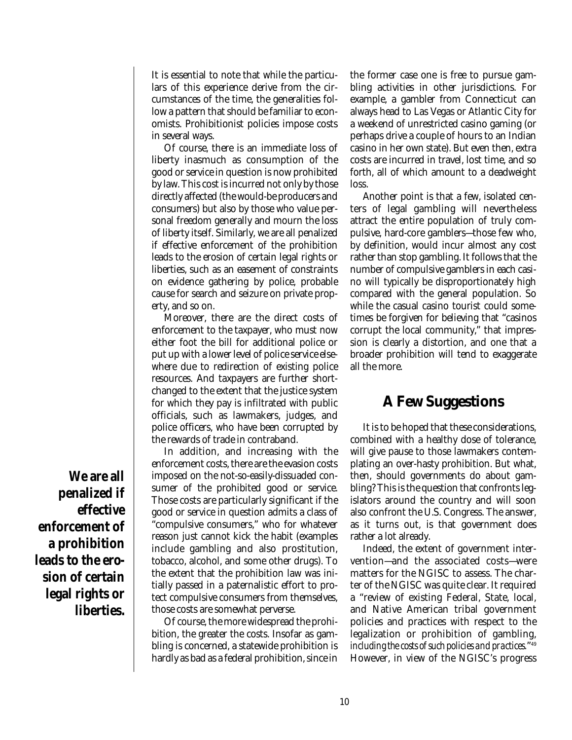It is essential to note that while the particulars of this experience derive from the circumstances of the time, the generalities follow a pattern that should be familiar to economists. Prohibitionist policies impose costs in several ways.

Of course, there is an immediate loss of liberty inasmuch as consumption of the good or service in question is now prohibited by law. This cost is incurred not only by those directly affected (the would-be producers and consumers) but also by those who value personal freedom generally and mourn the loss of liberty itself. Similarly, we are all penalized if effective enforcement of the prohibition leads to the erosion of certain legal rights or liberties, such as an easement of constraints on evidence gathering by police, probable cause for search and seizure on private property, and so on.

Moreover, there are the direct costs of enforcement to the taxpayer, who must now either foot the bill for additional police or put up with a lower level of police service elsewhere due to redirection of existing police resources. And taxpayers are further shortchanged to the extent that the justice system for which they pay is infiltrated with public officials, such as lawmakers, judges, and police officers, who have been corrupted by the rewards of trade in contraband.

In addition, and increasing with the enforcement costs, there are the evasion costs imposed on the not-so-easily-dissuaded consumer of the prohibited good or service. Those costs are particularly significant if the good or service in question admits a class of "compulsive consumers," who for whatever reason just cannot kick the habit (examples include gambling and also prostitution, tobacco, alcohol, and some other drugs). To the extent that the prohibition law was initially passed in a paternalistic effort to protect compulsive consumers from themselves, those costs are somewhat perverse.

Of course, the more widespread the prohibition, the greater the costs. Insofar as gambling is concerned, a statewide prohibition is hardly as bad as a federal prohibition, since in

the former case one is free to pursue gambling activities in other jurisdictions. For example, a gambler from Connecticut can always head to Las Vegas or Atlantic City for a weekend of unrestricted casino gaming (or perhaps drive a couple of hours to an Indian casino in her own state). But even then, extra costs are incurred in travel, lost time, and so forth, all of which amount to a deadweight loss.

Another point is that a few, isolated centers of legal gambling will nevertheless attract the entire population of truly compulsive, hard-core gamblers—those few who, by definition, would incur almost any cost rather than stop gambling. It follows that the number of compulsive gamblers in each casino will typically be disproportionately high compared with the general population. So while the casual casino tourist could sometimes be forgiven for believing that "casinos corrupt the local community," that impression is clearly a distortion, and one that a broader prohibition will tend to exaggerate all the more.

### **A Few Suggestions**

It is to be hoped that these considerations, combined with a healthy dose of tolerance, will give pause to those lawmakers contemplating an over-hasty prohibition. But what, then, should governments do about gambling? This is the question that confronts legislators around the country and will soon also confront the U.S. Congress. The answer, as it turns out, is that government does rather a lot already.

Indeed, the extent of government intervention—and the associated costs—were matters for the NGISC to assess. The charter of the NGISC was quite clear. It required a "review of existing Federal, State, local, and Native American tribal government policies and practices with respect to the legalization or prohibition of gambling, *including the costs of such policies and practices.*" 49 However, in view of the NGISC's progress

**We are all penalized if effective enforcement of a prohibition leads to the erosion of certain legal rights or liberties.**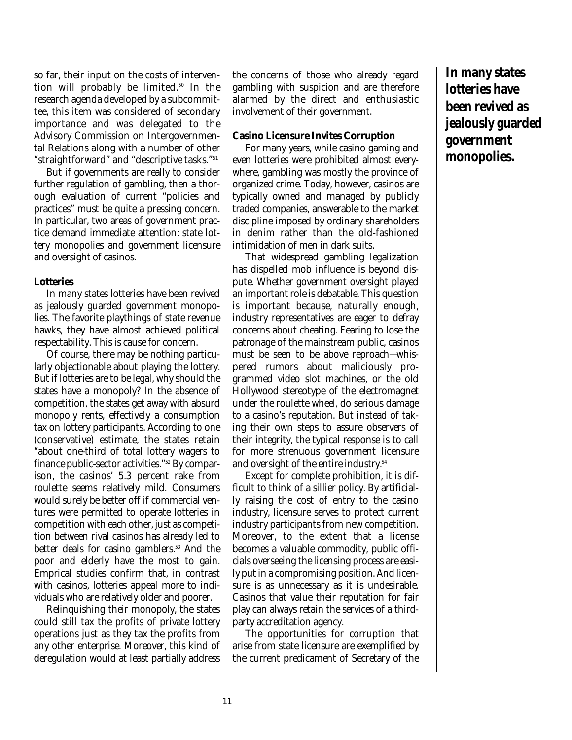so far, their input on the costs of intervention will probably be limited. 50 In the research agenda developed by a subcommittee, this item was considered of secondary importance and was delegated to the Advisory Commission on Intergovernmental Relations along with a number of other "straightforward" and "descriptive tasks." 51

But if governments are really to consider further regulation of gambling, then a thorough evaluation of current "policies and practices" must be quite a pressing concern. In particular, two areas of government practice demand immediate attention: state lottery monopolies and government licensure and oversight of casinos.

#### **Lotteries**

In many states lotteries have been revived as jealously guarded government monopolies. The favorite playthings of state revenue hawks, they have almost achieved political respectability. This is cause for concern.

Of course, there may be nothing particularly objectionable about playing the lottery. But if lotteries are to be legal, why should the states have a monopoly? In the absence of competition, the states get away with absurd monopoly rents, effectively a consumption tax on lottery participants. According to one (conservative) estimate, the states retain "about one-third of total lottery wagers to finance public-sector activities." <sup>52</sup> By comparison, the casinos' 5.3 percent rake from roulette seems relatively mild. Consumers would surely be better off if commercial ventures were permitted to operate lotteries in competition with each other, just as competition between rival casinos has already led to better deals for casino gamblers. <sup>53</sup> And the poor and elderly have the most to gain. Emprical studies confirm that, in contrast with casinos, lotteries appeal more to individuals who are relatively older and poorer.

Relinquishing their monopoly, the states could still tax the profits of private lottery operations just as they tax the profits from any other enterprise. Moreover, this kind of deregulation would at least partially address

the concerns of those who already regard gambling with suspicion and are therefore alarmed by the direct and enthusiastic involvement of their government.

#### **Casino Licensure Invites Corruption**

For many years, while casino gaming and even lotteries were prohibited almost everywhere, gambling was mostly the province of organized crime. Today, however, casinos are typically owned and managed by publicly traded companies, answerable to the market discipline imposed by ordinary shareholders in denim rather than the old-fashioned intimidation of men in dark suits.

That widespread gambling legalization has dispelled mob influence is beyond dispute. Whether government oversight played an important role is debatable. This question is important because, naturally enough, industry representatives are eager to defray concerns about cheating. Fearing to lose the patronage of the mainstream public, casinos must be seen to be above reproach—whispered rumors about maliciously programmed video slot machines, or the old Hollywood stereotype of the electromagnet under the roulette wheel, do serious damage to a casino's reputation. But instead of taking their own steps to assure observers of their integrity, the typical response is to call for more strenuous government licensure and oversight of the entire industry. 54

Except for complete prohibition, it is difficult to think of a sillier policy. By artificially raising the cost of entry to the casino industry, licensure serves to protect current industry participants from new competition. Moreover, to the extent that a license becomes a valuable commodity, public officials overseeing the licensing process are easily put in a compromising position. And licensure is as unnecessary as it is undesirable. Casinos that value their reputation for fair play can always retain the services of a thirdparty accreditation agency.

The opportunities for corruption that arise from state licensure are exemplified by the current predicament of Secretary of the

**In many states lotteries have been revived as jealously guarded government monopolies.**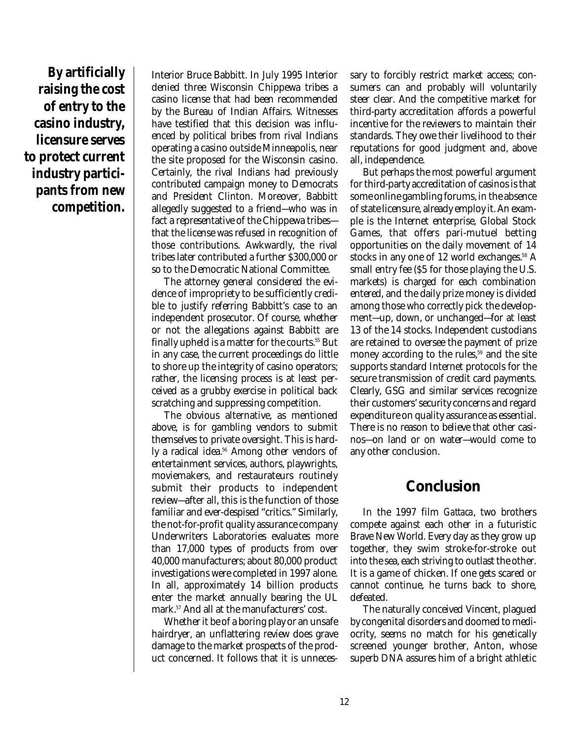**By artificially raising the cost of entry to the casino industry, licensure serves to protect current industry participants from new competition.** 

Interior Bruce Babbitt. In July 1995 Interior denied three Wisconsin Chippewa tribes a casino license that had been recommended by the Bureau of Indian Affairs. Witnesses have testified that this decision was influenced by political bribes from rival Indians operating a casino outside Minneapolis, near the site proposed for the Wisconsin casino. Certainly, the rival Indians had previously contributed campaign money to Democrats and President Clinton. Moreover, Babbitt allegedly suggested to a friend—who was in fact a representative of the Chippewa tribes that the license was refused in recognition of those contributions. Awkwardly, the rival tribes later contributed a further \$300,000 or so to the Democratic National Committee.

The attorney general considered the evidence of impropriety to be sufficiently credible to justify referring Babbitt's case to an independent prosecutor. Of course, whether or not the allegations against Babbitt are finally upheld is a matter for the courts. <sup>55</sup> But in any case, the current proceedings do little to shore up the integrity of casino operators; rather, the licensing process is at least perceived as a grubby exercise in political back scratching and suppressing competition.

The obvious alternative, as mentioned above, is for gambling vendors to submit themselves to private oversight. This is hardly a radical idea. <sup>56</sup> Among other vendors of entertainment services, authors, playwrights, moviemakers, and restaurateurs routinely submit their products to independent review—after all, this is the function of those familiar and ever-despised "critics." Similarly, the not-for-profit quality assurance company Underwriters Laboratories evaluates more than 17,000 types of products from over 40,000 manufacturers; about 80,000 product investigations were completed in 1997 alone. In all, approximately 14 billion products enter the market annually bearing the UL mark. <sup>57</sup> And all at the manufacturers' cost.

Whether it be of a boring play or an unsafe hairdryer, an unflattering review does grave damage to the market prospects of the product concerned. It follows that it is unneces-

sary to forcibly restrict market access; consumers can and probably will voluntarily steer clear. And the competitive market for third-party accreditation affords a powerful incentive for the reviewers to maintain their standards. They owe their livelihood to their reputations for good judgment and, above all, independence.

But perhaps the most powerful argument for third-party accreditation of casinos is that some online gambling forums, in the absence of state licensure, already employ it. An example is the Internet enterprise, Global Stock Games, that offers pari-mutuel betting opportunities on the daily movement of 14 stocks in any one of 12 world exchanges. <sup>58</sup> A small entry fee (\$5 for those playing the U.S. markets) is charged for each combination entered, and the daily prize money is divided among those who correctly pick the development—up, down, or unchanged—for at least 13 of the 14 stocks. Independent custodians are retained to oversee the payment of prize money according to the rules, 59 and the site supports standard Internet protocols for the secure transmission of credit card payments. Clearly, GSG and similar services recognize their customers' security concerns and regard expenditure on quality assurance as essential. There is no reason to believe that other casinos—on land or on water—would come to any other conclusion.

### **Conclusion**

In the 1997 film *Gattaca*, two brothers compete against each other in a futuristic Brave New World. Every day as they grow up together, they swim stroke-for-stroke out into the sea, each striving to outlast the other. It is a game of chicken. If one gets scared or cannot continue, he turns back to shore, defeated.

The naturally conceived Vincent, plagued by congenital disorders and doomed to mediocrity, seems no match for his genetically screened younger brother, Anton, whose superb DNA assures him of a bright athletic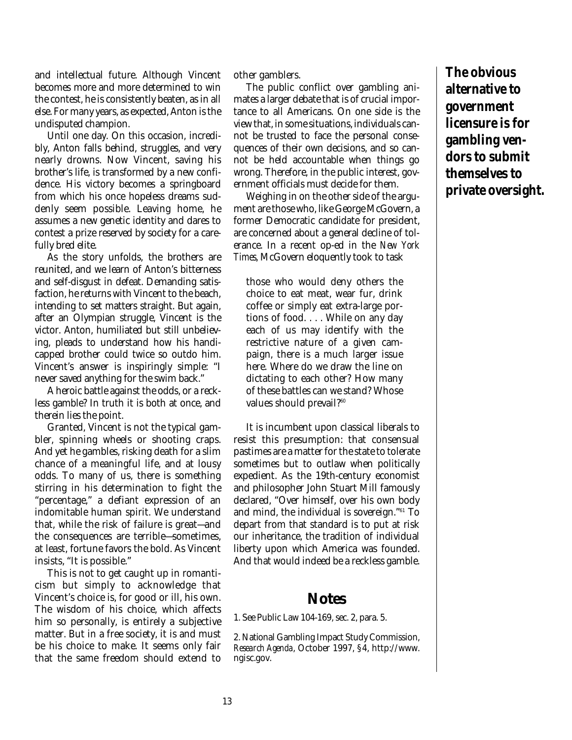and intellectual future. Although Vincent becomes more and more determined to win the contest, he is consistently beaten, as in all else. For many years, as expected, Anton is the undisputed champion.

Until one day. On this occasion, incredibly, Anton falls behind, struggles, and very nearly drowns. Now Vincent, saving his brother's life, is transformed by a new confidence. His victory becomes a springboard from which his once hopeless dreams suddenly seem possible. Leaving home, he assumes a new genetic identity and dares to contest a prize reserved by society for a carefully bred elite.

As the story unfolds, the brothers are reunited, and we learn of Anton's bitterness and self-disgust in defeat. Demanding satisfaction, he returns with Vincent to the beach, intending to set matters straight. But again, after an Olympian struggle, Vincent is the victor. Anton, humiliated but still unbelieving, pleads to understand how his handicapped brother could twice so outdo him. Vincent's answer is inspiringly simple: "I never saved anything for the swim back."

A heroic battle against the odds, or a reckless gamble? In truth it is both at once, and therein lies the point.

Granted, Vincent is not the typical gambler, spinning wheels or shooting craps. And yet he gambles, risking death for a slim chance of a meaningful life, and at lousy odds. To many of us, there is something stirring in his determination to fight the "percentage," a defiant expression of an indomitable human spirit. We understand that, while the risk of failure is great—and the consequences are terrible—sometimes, at least, fortune favors the bold. As Vincent insists, "It is possible."

This is not to get caught up in romanticism but simply to acknowledge that Vincent's choice is, for good or ill, his own. The wisdom of his choice, which affects him so personally, is entirely a subjective matter. But in a free society, it is and must be his choice to make. It seems only fair that the same freedom should extend to

other gamblers.

The public conflict over gambling animates a larger debate that is of crucial importance to all Americans. On one side is the view that, in some situations, individuals cannot be trusted to face the personal consequences of their own decisions, and so cannot be held accountable when things go wrong. Therefore, in the public interest, government officials must decide for them.

Weighing in on the other side of the argument are those who, like George McGovern, a former Democratic candidate for president, are concerned about a general decline of tolerance. In a recent op-ed in the *New York Times*, McGovern eloquently took to task

those who would deny others the choice to eat meat, wear fur, drink coffee or simply eat extra-large portions of food. . . . While on any day each of us may identify with the restrictive nature of a given campaign, there is a much larger issue here. Where do we draw the line on dictating to each other? How many of these battles can we stand? Whose values should prevail? 60

It is incumbent upon classical liberals to resist this presumption: that consensual pastimes are a matter for the state to tolerate sometimes but to outlaw when politically expedient. As the 19th-century economist and philosopher John Stuart Mill famously declared, "Over himself, over his own body and mind, the individual is sovereign." <sup>61</sup> To depart from that standard is to put at risk our inheritance, the tradition of individual liberty upon which America was founded. And that would indeed be a reckless gamble.

### **Notes**

1. See Public Law 104-169, sec. 2, para. 5.

2. National Gambling Impact Study Commission, *Research Agenda*, October 1997, §4, http://www. ngisc.gov.

**The obvious alternative to government licensure is for gambling vendors to submit themselves to private oversight.**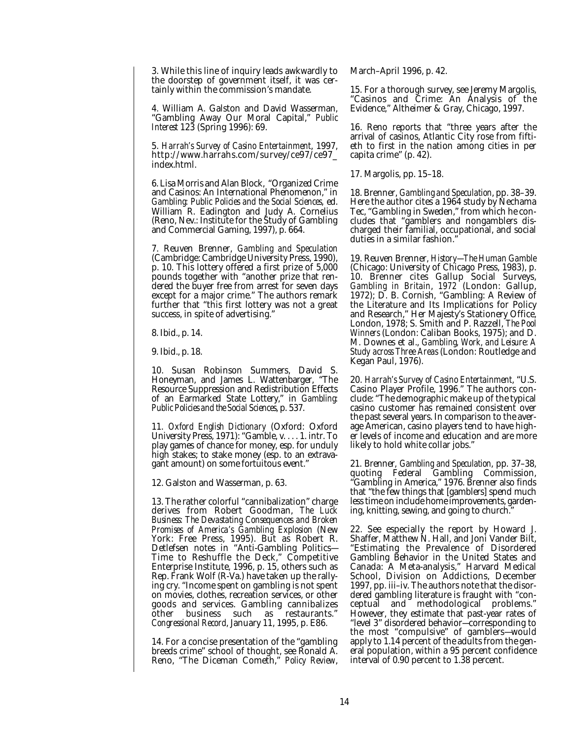3. While this line of inquiry leads awkwardly to the doorstep of government itself, it was certainly within the commission's mandate.

4. William A. Galston and David Wasserman, "Gambling Away Our Moral Capital," *Public Interest* 123 (Spring 1996): 69.

5. *Harrah's Survey of Casino Entertainment*, 1997, http://www.harrahs.com/survey/ce97/ce97\_ index.html.

6. Lisa Morris and Alan Block, "Organized Crime and Casinos: An International Phenomenon," in *Gambling: Public Policies and the Social Sciences*, ed. William R. Eadington and Judy A. Cornelius (Reno, Nev.: Institute for the Study of Gambling and Commercial Gaming, 1997), p. 664.

7. Reuven Brenner, *Gambling and Speculation* (Cambridge: Cambridge University Press, 1990), p. 10. This lottery offered a first prize of 5,000 pounds together with "another prize that rendered the buyer free from arrest for seven days except for a major crime." The authors remark further that "this first lottery was not a great success, in spite of advertising."

8. Ibid., p. 14.

9. Ibid., p. 18.

10. Susan Robinson Summers, David S. Honeyman, and James L. Wattenbarger, "The Resource Suppression and Redistribution Effects of an Earmarked State Lottery," in *Gambling: Public Policies and the Social Sciences*, p. 537.

11. *Oxford English Dictionary* (Oxford: Oxford University Press, 1971): "Gamble, v. . . . 1. intr. To play games of chance for money, esp. for unduly high stakes; to stake money (esp. to an extravagant amount) on some fortuitous event."

12. Galston and Wasserman, p. 63.

13. The rather colorful "cannibalization" charge derives from Robert Goodman, *The Luck Business: The Devastating Consequences and Broken Promises of America's Gambling Explosion* (New York: Free Press, 1995). But as Robert R. Detlefsen notes in "Anti-Gambling Politics— Time to Reshuffle the Deck," Competitive Enterprise Institute, 1996, p. 15, others such as Rep. Frank Wolf (R-Va.) have taken up the rallying cry. "Income spent on gambling is not spent on movies, clothes, recreation services, or other goods and services. Gambling cannibalizes business such as *Congressional Record*, January 11, 1995, p. E86.

14. For a concise presentation of the "gambling breeds crime" school of thought, see Ronald A. Reno, "The Diceman Cometh," *Policy Review*,

March–April 1996, p. 42.

15. For a thorough survey, see Jeremy Margolis, "Casinos and Crime: An Analysis of the Evidence," Altheimer & Gray, Chicago, 1997.

16. Reno reports that "three years after the arrival of casinos, Atlantic City rose from fiftieth to first in the nation among cities in per capita crime" (p. 42).

17. Margolis, pp. 15–18.

18. Brenner, *Gambling and Speculation*, pp. 38–39. Here the author cites a 1964 study by Nechama Tec, "Gambling in Sweden," from which he concludes that "gamblers and nongamblers discharged their familial, occupational, and social duties in a similar fashion.

19. Reuven Brenner, *History—The Human Gamble* (Chicago: University of Chicago Press, 1983), p. 10. Brenner cites Gallup Social Surveys, *Gambling in Britain*, *1972* (London: Gallup, 1972); D. B. Cornish, "Gambling: A Review of the Literature and Its Implications for Policy and Research," Her Majesty's Stationery Office, London, 1978; S. Smith and P. Razzell, *The Pool Winners* (London: Caliban Books, 1975); and D. M. Downes et al., *Gambling, Work, and Leisure: A Study across Three Areas* (London: Routledge and Kegan Paul, 1976).

20. *Harrah's Survey of Casino Entertainment*, "U.S. Casino Player Profile, 1996." The authors conclude: "The demographic make up of the typical casino customer has remained consistent over the past several years. In comparison to the average American, casino players tend to have higher levels of income and education and are more likely to hold white collar jobs."

21. Brenner, *Gambling and Speculation*, pp. 37–38, quoting Federal Gambling Commission, "Gambling in America," 1976. Brenner also finds that "the few things that [gamblers] spend much less time on include home improvements, gardening, knitting, sewing, and going to church.

22. See especially the report by Howard J. Shaffer, Matthew N. Hall, and Joni Vander Bilt, "Estimating the Prevalence of Disordered Gambling Behavior in the United States and Canada: A Meta-analysis," Harvard Medical School, Division on Addictions, December 1997, pp. iii–iv. The authors note that the disordered gambling literature is fraught with "conceptual and methodological problems." However, they estimate that past-year rates of "level 3" disordered behavior—corresponding to the most "compulsive" of gamblers—would apply to 1.14 percent of the adults from the general population, within a 95 percent confidence interval of 0.90 percent to 1.38 percent.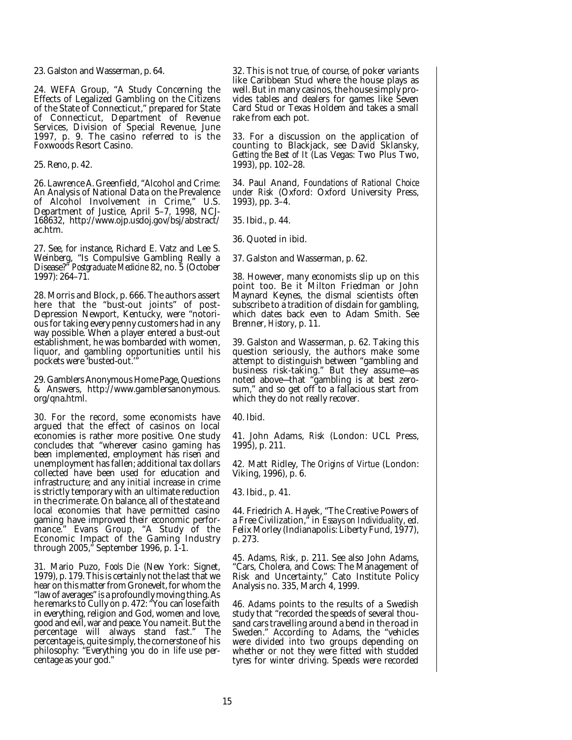23. Galston and Wasserman, p. 64.

24. WEFA Group, "A Study Concerning the Effects of Legalized Gambling on the Citizens of the State of Connecticut," prepared for State of Connecticut, Department of Revenue Services, Division of Special Revenue, June 1997, p. 9. The casino referred to is the Foxwoods Resort Casino.

25. Reno, p. 42.

26. Lawrence A. Greenfield, "Alcohol and Crime: An Analysis of National Data on the Prevalence of Alcohol Involvement in Crime," U.S. Department of Justice, April 5–7, 1998, NCJ-168632, http://www.ojp.usdoj.gov/bsj/abstract/ ac.htm.

27. See, for instance, Richard E. Vatz and Lee S. Weinberg, "Is Compulsive Gambling Really a Disease?" *Postgraduate Medicine* 82, no. 5 (October 1997): 264–71.

28. Morris and Block, p. 666. The authors assert here that the "bust-out joints" of post-Depression Newport, Kentucky, were "notorious for taking every penny customers had in any way possible. When a player entered a bust-out establishment, he was bombarded with women, liquor, and gambling opportunities until his pockets were 'busted-out."

29. Gamblers Anonymous Home Page, Questions & Answers, http://www.gamblersanonymous. org/qna.html.

30. For the record, some economists have argued that the effect of casinos on local economies is rather more positive. One study concludes that "wherever casino gaming has been implemented, employment has risen and unemployment has fallen; additional tax dollars collected have been used for education and infrastructure; and any initial increase in crime is strictly temporary with an ultimate reduction in the crime rate. On balance, all of the state and local economies that have permitted casino gaming have improved their economic perfor-<br>mance." Evans Group, "A Study of the Evans Group, "A Study of the Economic Impact of the Gaming Industry through 2005," September 1996, p. 1-1.

31. Mario Puzo, *Fools Die* (New York: Signet, 1979), p. 179. This is certainly not the last that we hear on this matter from Gronevelt, for whom the "law of averages" is a profoundly moving thing. As he remarks to Cully on p. 472: "You can lose faith in everything, religion and God, women and love, good and evil, war and peace. You name it. But the percentage will always stand fast." The percentage is, quite simply, the cornerstone of his philosophy: "Everything you do in life use percentage as your god."

32. This is not true, of course, of poker variants like Caribbean Stud where the house plays as well. But in many casinos, the house simply provides tables and dealers for games like Seven Card Stud or Texas Holdem and takes a small rake from each pot.

33. For a discussion on the application of counting to Blackjack, see David Sklansky, *Getting the Best of It* (Las Vegas: Two Plus Two, 1993), pp. 102–28.

34. Paul Anand, *Foundations of Rational Choice under Risk* (Oxford: Oxford University Press, 1993), pp. 3–4.

35. Ibid., p. 44.

36. Quoted in ibid.

37. Galston and Wasserman, p. 62.

38. However, many economists slip up on this point too. Be it Milton Friedman or John Maynard Keynes, the dismal scientists often subscribe to a tradition of disdain for gambling, which dates back even to Adam Smith. See Brenner, *History*, p. 11.

39. Galston and Wasserman, p. 62. Taking this question seriously, the authors make some attempt to distinguish between "gambling and business risk-taking." But they assume—as noted above—that "gambling is at best zerosum," and so get off to a fallacious start from which they do not really recover.

40. Ibid.

41. John Adams, *Risk* (London: UCL Press, 1995), p. 211.

42. Matt Ridley, *The Origins of Virtue* (London: Viking, 1996), p. 6.

43. Ibid., p. 41.

44. Friedrich A. Hayek, "The Creative Powers of a Free Civilization," in *Essays on Individuality*, ed. Felix Morley (Indianapolis: Liberty Fund, 1977), p. 273.

45. Adams, *Risk*, p. 211. See also John Adams, "Cars, Cholera, and Cows: The Management of Risk and Uncertainty," Cato Institute Policy Analysis no. 335, March 4, 1999.

46. Adams points to the results of a Swedish study that "recorded the speeds of several thousand cars travelling around a bend in the road in Sweden." According to Adams, the "vehicles were divided into two groups depending on whether or not they were fitted with studded tyres for winter driving. Speeds were recorded